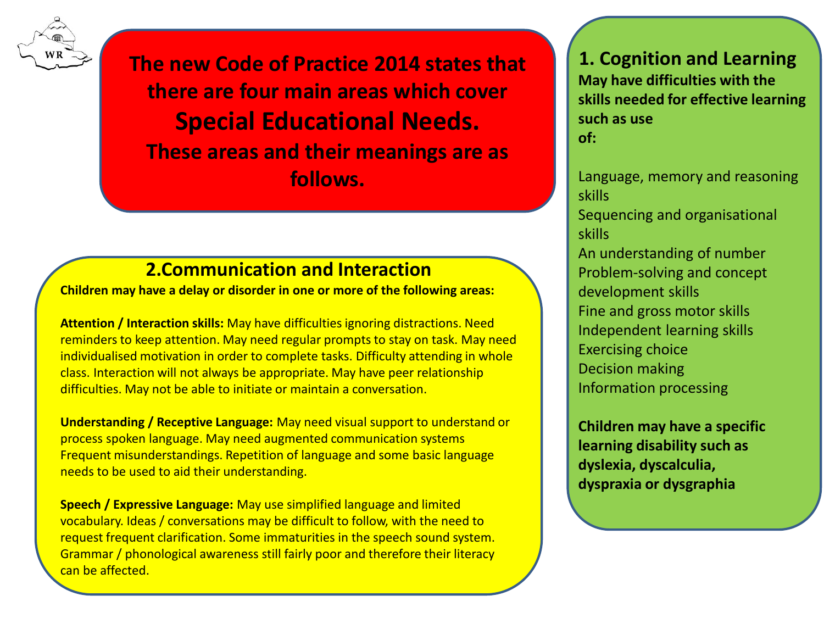

**The new Code of Practice 2014 states that there are four main areas which cover Special Educational Needs. These areas and their meanings are as follows.** 

## **2.Communication and Interaction**

**Children may have a delay or disorder in one or more of the following areas:**

**Attention / Interaction skills:** May have difficulties ignoring distractions. Need reminders to keep attention. May need regular prompts to stay on task. May need individualised motivation in order to complete tasks. Difficulty attending in whole class. Interaction will not always be appropriate. May have peer relationship difficulties. May not be able to initiate or maintain a conversation.

**Understanding / Receptive Language:** May need visual support to understand or process spoken language. May need augmented communication systems Frequent misunderstandings. Repetition of language and some basic language needs to be used to aid their understanding.

**Speech / Expressive Language:** May use simplified language and limited vocabulary. Ideas / conversations may be difficult to follow, with the need to request frequent clarification. Some immaturities in the speech sound system. Grammar / phonological awareness still fairly poor and therefore their literacy can be affected.

### **1. Cognition and Learning**

**May have difficulties with the skills needed for effective learning such as use of:**

Language, memory and reasoning skills Sequencing and organisational skills An understanding of number Problem-solving and concept development skills Fine and gross motor skills Independent learning skills Exercising choice Decision making Information processing

**Children may have a specific learning disability such as dyslexia, dyscalculia, dyspraxia or dysgraphia**